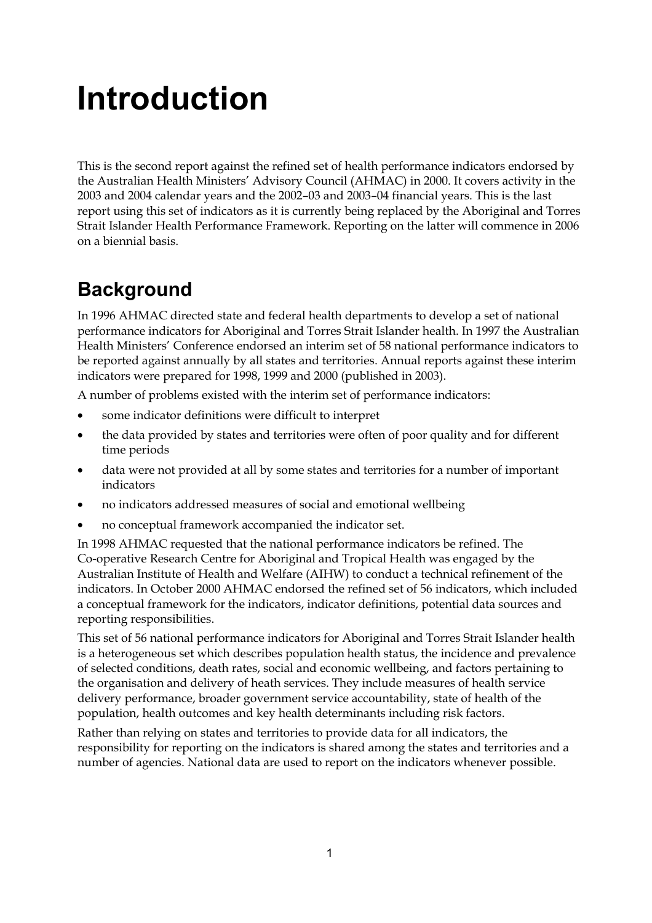# **Introduction**

This is the second report against the refined set of health performance indicators endorsed by the Australian Health Ministers' Advisory Council (AHMAC) in 2000. It covers activity in the 2003 and 2004 calendar years and the 2002–03 and 2003–04 financial years. This is the last report using this set of indicators as it is currently being replaced by the Aboriginal and Torres Strait Islander Health Performance Framework. Reporting on the latter will commence in 2006 on a biennial basis.

## **Background**

In 1996 AHMAC directed state and federal health departments to develop a set of national performance indicators for Aboriginal and Torres Strait Islander health. In 1997 the Australian Health Ministers' Conference endorsed an interim set of 58 national performance indicators to be reported against annually by all states and territories. Annual reports against these interim indicators were prepared for 1998, 1999 and 2000 (published in 2003).

A number of problems existed with the interim set of performance indicators:

- some indicator definitions were difficult to interpret
- the data provided by states and territories were often of poor quality and for different time periods
- data were not provided at all by some states and territories for a number of important indicators
- no indicators addressed measures of social and emotional wellbeing
- no conceptual framework accompanied the indicator set.

In 1998 AHMAC requested that the national performance indicators be refined. The Co-operative Research Centre for Aboriginal and Tropical Health was engaged by the Australian Institute of Health and Welfare (AIHW) to conduct a technical refinement of the indicators. In October 2000 AHMAC endorsed the refined set of 56 indicators, which included a conceptual framework for the indicators, indicator definitions, potential data sources and reporting responsibilities.

This set of 56 national performance indicators for Aboriginal and Torres Strait Islander health is a heterogeneous set which describes population health status, the incidence and prevalence of selected conditions, death rates, social and economic wellbeing, and factors pertaining to the organisation and delivery of heath services. They include measures of health service delivery performance, broader government service accountability, state of health of the population, health outcomes and key health determinants including risk factors.

Rather than relying on states and territories to provide data for all indicators, the responsibility for reporting on the indicators is shared among the states and territories and a number of agencies. National data are used to report on the indicators whenever possible.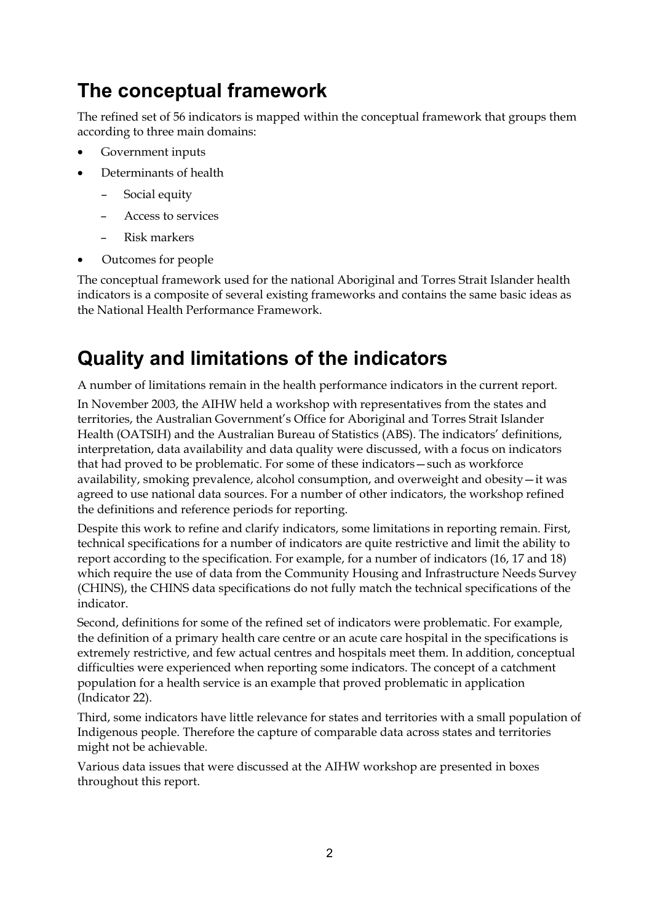#### **The conceptual framework**

The refined set of 56 indicators is mapped within the conceptual framework that groups them according to three main domains:

- Government inputs
- Determinants of health
	- Social equity
	- Access to services
	- Risk markers
- Outcomes for people

The conceptual framework used for the national Aboriginal and Torres Strait Islander health indicators is a composite of several existing frameworks and contains the same basic ideas as the National Health Performance Framework.

#### **Quality and limitations of the indicators**

A number of limitations remain in the health performance indicators in the current report.

In November 2003, the AIHW held a workshop with representatives from the states and territories, the Australian Government's Office for Aboriginal and Torres Strait Islander Health (OATSIH) and the Australian Bureau of Statistics (ABS). The indicators' definitions, interpretation, data availability and data quality were discussed, with a focus on indicators that had proved to be problematic. For some of these indicators—such as workforce availability, smoking prevalence, alcohol consumption, and overweight and obesity—it was agreed to use national data sources. For a number of other indicators, the workshop refined the definitions and reference periods for reporting.

Despite this work to refine and clarify indicators, some limitations in reporting remain. First, technical specifications for a number of indicators are quite restrictive and limit the ability to report according to the specification. For example, for a number of indicators (16, 17 and 18) which require the use of data from the Community Housing and Infrastructure Needs Survey (CHINS), the CHINS data specifications do not fully match the technical specifications of the indicator.

Second, definitions for some of the refined set of indicators were problematic. For example, the definition of a primary health care centre or an acute care hospital in the specifications is extremely restrictive, and few actual centres and hospitals meet them. In addition, conceptual difficulties were experienced when reporting some indicators. The concept of a catchment population for a health service is an example that proved problematic in application (Indicator 22).

Third, some indicators have little relevance for states and territories with a small population of Indigenous people. Therefore the capture of comparable data across states and territories might not be achievable.

Various data issues that were discussed at the AIHW workshop are presented in boxes throughout this report.